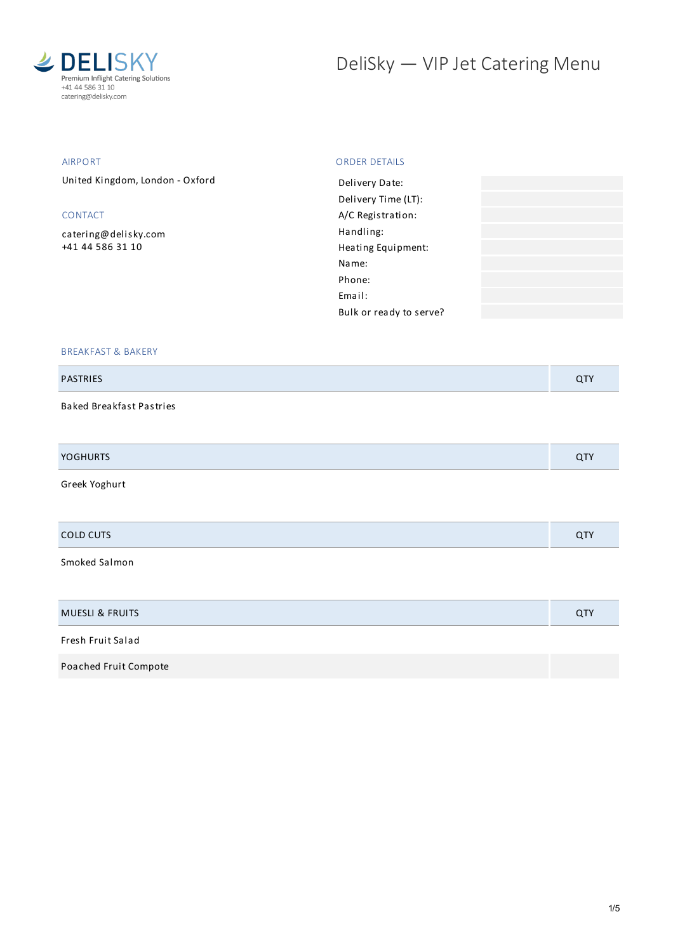

# DeliSky - VIP Jet Catering Menu

### AIRPORT

United Kingdom, London - Oxford

## CONTACT

[catering@delisky.com](mailto:catering@delisky.com) +41 44 586 31 10

#### ORDER DETAILS

| Delivery Date:          |  |
|-------------------------|--|
| Delivery Time (LT):     |  |
| A/C Registration:       |  |
| Handling:               |  |
| Heating Equipment:      |  |
| Name:                   |  |
| Phone:                  |  |
| Email:                  |  |
| Bulk or ready to serve? |  |
|                         |  |

#### BREAKFAST & BAKERY

#### PASTRIES QTY

Baked Breakfast Pastries

| VOCL | ີ |
|------|---|
|      |   |

Greek Yoghurt

Smoked Salmon

| <b>MUESLI &amp; FRUITS</b> | <b>QTY</b> |
|----------------------------|------------|
| Fresh Fruit Salad          |            |
| Poached Fruit Compote      |            |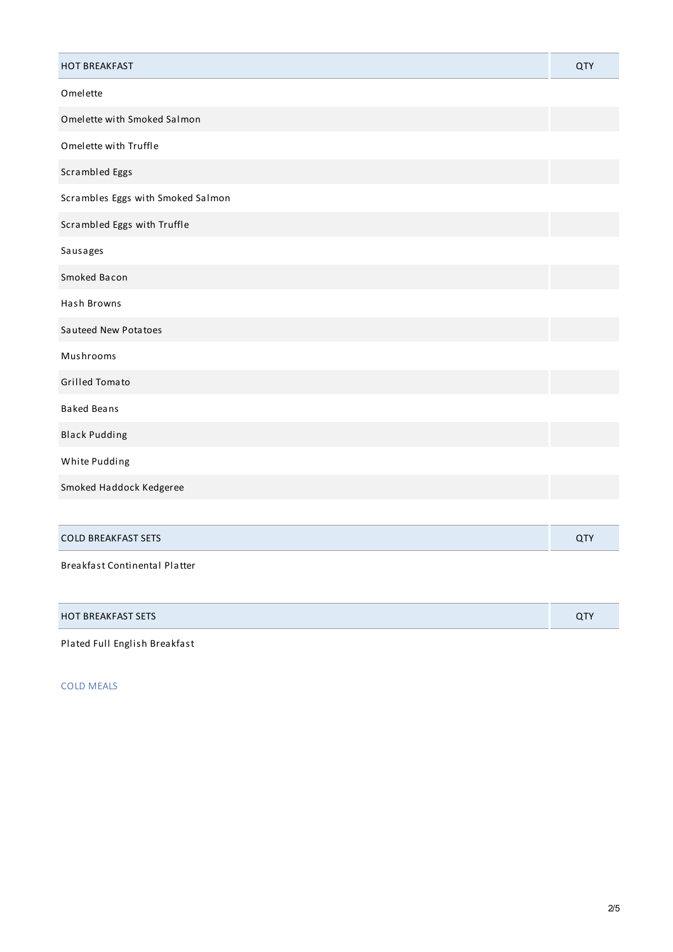| <b>HOT BREAKFAST</b>                 | <b>QTY</b> |
|--------------------------------------|------------|
| Omelette                             |            |
| Omelette with Smoked Salmon          |            |
| Omelette with Truffle                |            |
| Scrambled Eggs                       |            |
| Scrambles Eggs with Smoked Salmon    |            |
| Scrambled Eggs with Truffle          |            |
| Sausages                             |            |
| Smoked Bacon                         |            |
| Hash Browns                          |            |
| Sauteed New Potatoes                 |            |
| Mushrooms                            |            |
| <b>Grilled Tomato</b>                |            |
| <b>Baked Beans</b>                   |            |
| <b>Black Pudding</b>                 |            |
| White Pudding                        |            |
| Smoked Haddock Kedgeree              |            |
|                                      |            |
| <b>COLD BREAKFAST SETS</b>           | QTY        |
| <b>Breakfast Continental Platter</b> |            |

| <b>HOT BREAKFAST SETS</b> |  |
|---------------------------|--|
|---------------------------|--|

Plated Full English Breakfast

COLD MEALS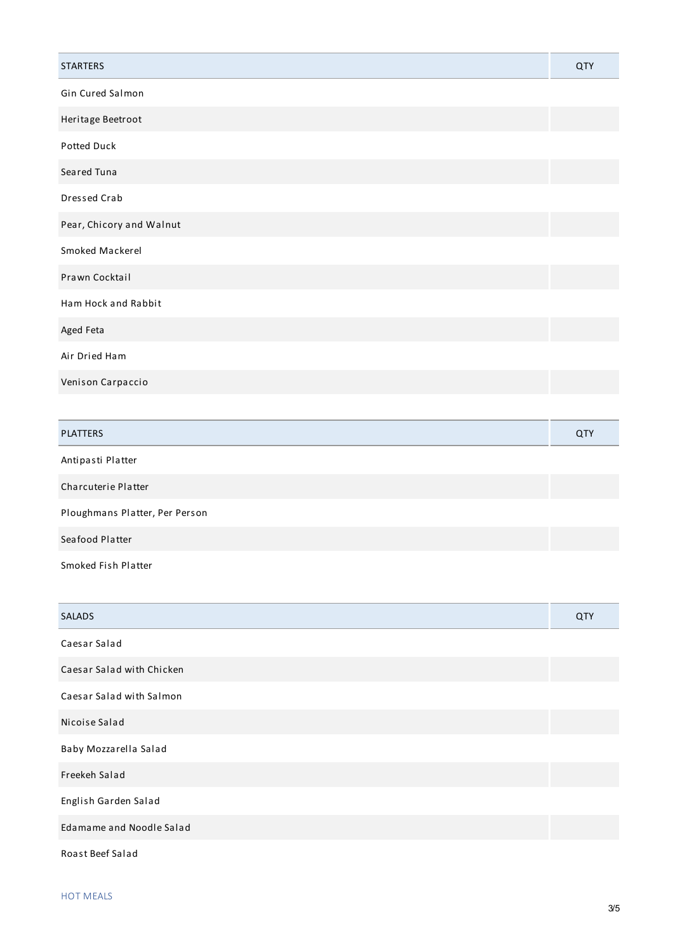| <b>STARTERS</b>          | QTY |
|--------------------------|-----|
| Gin Cured Salmon         |     |
| Heritage Beetroot        |     |
| Potted Duck              |     |
| Seared Tuna              |     |
| Dressed Crab             |     |
| Pear, Chicory and Walnut |     |
| Smoked Mackerel          |     |
| Prawn Cocktail           |     |
| Ham Hock and Rabbit      |     |
| Aged Feta                |     |
| Air Dried Ham            |     |
| Venison Carpaccio        |     |
|                          |     |

| <b>PLATTERS</b>                | QTY |
|--------------------------------|-----|
| Antipasti Platter              |     |
| Charcuterie Platter            |     |
| Ploughmans Platter, Per Person |     |
| Seafood Platter                |     |
|                                |     |

Smoked Fish Platter

| <b>SALADS</b>             | QTY |
|---------------------------|-----|
| Caesar Salad              |     |
| Caesar Salad with Chicken |     |
| Caesar Salad with Salmon  |     |
| Nicoise Salad             |     |
| Baby Mozzarella Salad     |     |
| Freekeh Salad             |     |
| English Garden Salad      |     |
| Edamame and Noodle Salad  |     |
| Roast Beef Salad          |     |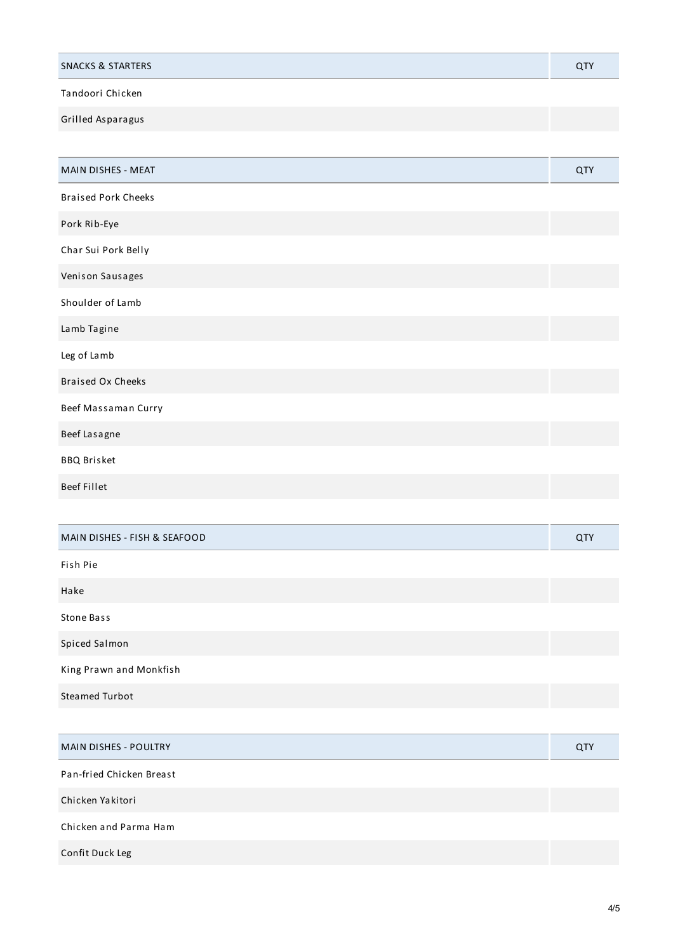| <b>SNACKS &amp; STARTERS</b> |  |
|------------------------------|--|
| Tandoori Chicken             |  |

Grilled Asparagus

| MAIN DISHES - MEAT           | QTY        |
|------------------------------|------------|
| <b>Braised Pork Cheeks</b>   |            |
| Pork Rib-Eye                 |            |
| Char Sui Pork Belly          |            |
| Venison Sausages             |            |
| Shoulder of Lamb             |            |
| Lamb Tagine                  |            |
| Leg of Lamb                  |            |
| <b>Braised Ox Cheeks</b>     |            |
| Beef Massaman Curry          |            |
| Beef Lasagne                 |            |
| <b>BBQ Brisket</b>           |            |
| <b>Beef Fillet</b>           |            |
|                              |            |
| MAIN DISHES - FISH & SEAFOOD | <b>QTY</b> |
| Fish Pie                     |            |
| Hake                         |            |
| <b>Stone Bass</b>            |            |
| Spiced Salmon                |            |
| King Prawn and Monkfish      |            |
| <b>Steamed Turbot</b>        |            |
|                              |            |
| MAIN DISHES - POULTRY        | QTY        |
| Pan-fried Chicken Breast     |            |
| Chicken Yakitori             |            |

Chicken and Parma Ham

Confit Duck Leg